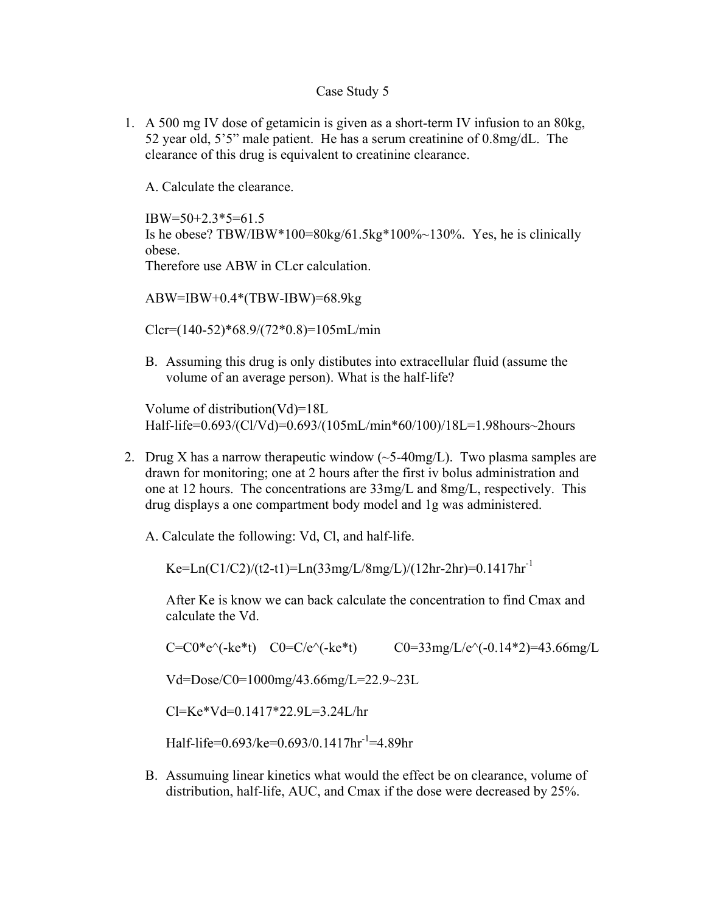## Case Study 5

1. A 500 mg IV dose of getamicin is given as a short-term IV infusion to an 80kg, 52 year old, 5'5" male patient. He has a serum creatinine of 0.8mg/dL. The clearance of this drug is equivalent to creatinine clearance.

A. Calculate the clearance.

IBW=50+2.3\*5=61.5 Is he obese? TBW/IBW\*100=80kg/61.5kg\*100%~130%. Yes, he is clinically obese. Therefore use ABW in CLcr calculation.

ABW=IBW+0.4\*(TBW-IBW)=68.9kg

Clcr= $(140-52)*68.9/(72*0.8)=105$ mL/min

B. Assuming this drug is only distibutes into extracellular fluid (assume the volume of an average person). What is the half-life?

Volume of distribution(Vd)=18L Half-life=0.693/(Cl/Vd)=0.693/(105mL/min\*60/100)/18L=1.98hours~2hours

- 2. Drug X has a narrow therapeutic window  $(\sim 5-40 \text{ mg/L})$ . Two plasma samples are drawn for monitoring; one at 2 hours after the first iv bolus administration and one at 12 hours. The concentrations are 33mg/L and 8mg/L, respectively. This drug displays a one compartment body model and 1g was administered.
	- A. Calculate the following: Vd, Cl, and half-life.

 $Ke=Ln(C1/C2)/(t2-t1)=Ln(33mg/L/8mg/L)/(12hr-2hr)=0.1417hr^{-1}$ 

After Ke is know we can back calculate the concentration to find Cmax and calculate the Vd.

C=C0\*e^(-ke\*t) C0=C/e^(-ke\*t) C0=33mg/L/e^(-0.14\*2)=43.66mg/L

Vd=Dose/C0=1000mg/43.66mg/L=22.9~23L

Cl=Ke\*Vd=0.1417\*22.9L=3.24L/hr

Half-life= $0.693$ /ke= $0.693/0.1417$ hr<sup>-1</sup>=4.89hr

B. Assumuing linear kinetics what would the effect be on clearance, volume of distribution, half-life, AUC, and Cmax if the dose were decreased by 25%.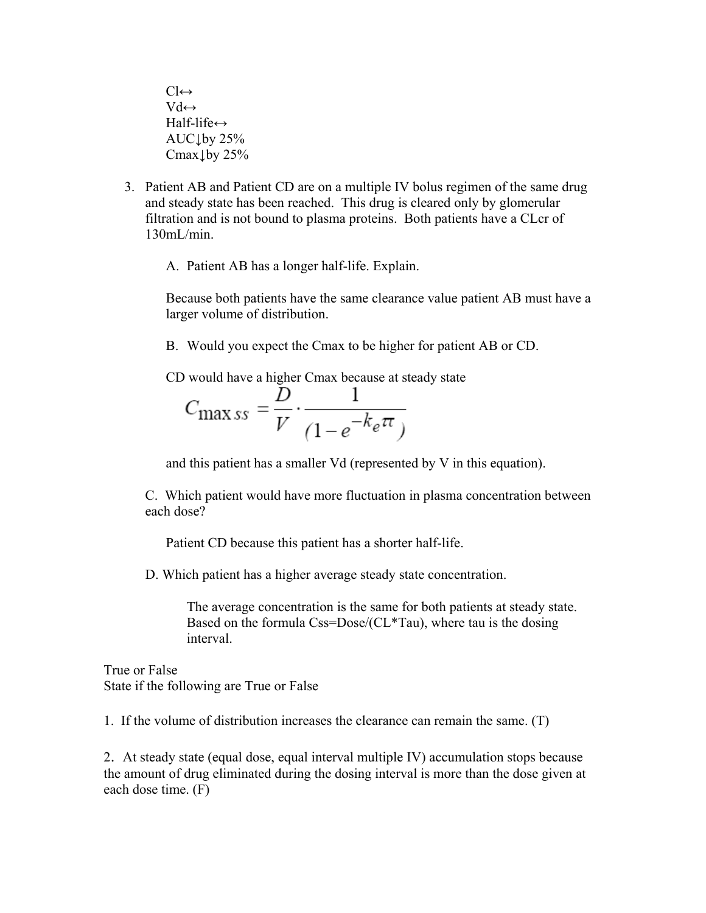$Cl \leftrightarrow$ Vd↔ Half-life↔ AUC↓by 25% Cmax↓by 25%

- 3. Patient AB and Patient CD are on a multiple IV bolus regimen of the same drug and steady state has been reached. This drug is cleared only by glomerular filtration and is not bound to plasma proteins. Both patients have a CLcr of 130mL/min.
	- A. Patient AB has a longer half-life. Explain.

Because both patients have the same clearance value patient AB must have a larger volume of distribution.

B. Would you expect the Cmax to be higher for patient AB or CD.

CD would have a higher Cmax because at steady state

$$
C_{\text{max}ss} = \frac{D}{V} \cdot \frac{1}{(1 - e^{-k_e \pi})}
$$

and this patient has a smaller Vd (represented by V in this equation).

C. Which patient would have more fluctuation in plasma concentration between each dose?

Patient CD because this patient has a shorter half-life.

D. Which patient has a higher average steady state concentration.

The average concentration is the same for both patients at steady state. Based on the formula Css=Dose/(CL\*Tau), where tau is the dosing interval.

True or False State if the following are True or False

1. If the volume of distribution increases the clearance can remain the same. (T)

2. At steady state (equal dose, equal interval multiple IV) accumulation stops because the amount of drug eliminated during the dosing interval is more than the dose given at each dose time. (F)